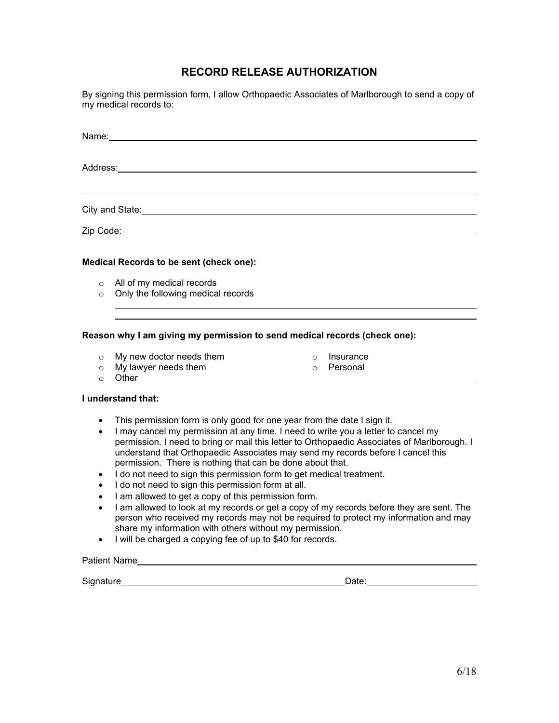## **RECORD RELEASE AUTHORIZATION**

By signing this permission form, I allow Orthopaedic Associates of Marlborough to send a copy of my medical records to:

| City and State: <u>Contract and State and State and State and State and State and State and State and State and State and State and State and State and State and State and State and State and State and State and State and St</u> |
|--------------------------------------------------------------------------------------------------------------------------------------------------------------------------------------------------------------------------------------|
|                                                                                                                                                                                                                                      |
| <b>Medical Records to be sent (check one):</b>                                                                                                                                                                                       |
| $\circ$ All of my medical records                                                                                                                                                                                                    |
| $\circ$ Only the following medical records                                                                                                                                                                                           |
|                                                                                                                                                                                                                                      |
| Reason why I am giving my permission to send medical records (check one):                                                                                                                                                            |

# o My new doctor needs them

- 
- o Insurance
- 
- o Personal
- o My lawyer needs them<br>○ Other\_\_\_\_\_\_ o Other

#### **I understand that:**

- This permission form is only good for one year from the date I sign it.
- I may cancel my permission at any time. I need to write you a letter to cancel my permission. I need to bring or mail this letter to Orthopaedic Associates of Marlborough. I understand that Orthopaedic Associates may send my records before I cancel this permission. There is nothing that can be done about that.
- I do not need to sign this permission form to get medical treatment.
- I do not need to sign this permission form at all.
- I am allowed to get a copy of this permission form.
- I am allowed to look at my records or get a copy of my records before they are sent. The person who received my records may not be required to protect my information and may share my information with others without my permission.
- I will be charged a copying fee of up to \$40 for records.

### Patient Name

Signature Date: